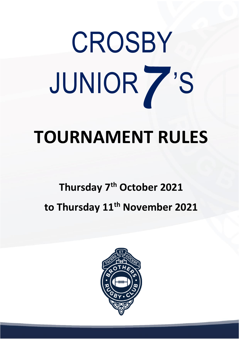# *7*  **CROSBY** JUNIOR 'S

## **TOURNAMENT RULES**

### **Thursday 7 th October 2021 to Thursday 11 th November 2021**

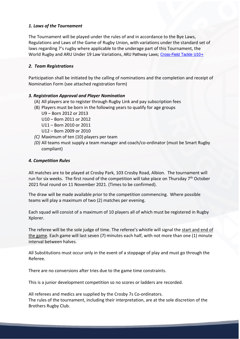#### *1. Laws of the Tournament*

The Tournament will be played under the rules of and in accordance to the Bye Laws, Regulations and Laws of the Game of Rugby Union, with variations under the standard set of laws regarding 7's rugby where applicable to the underage part of this Tournament, the World Rugby and ARU Under 19 Law Variations, ARU Pathway Laws; [Cross-Field Tackle U10+](http://www.aru.com.au/Portals/17/Files/PDF/Rugby7s-Cross-Field-Tackle-U10.pdf)

#### *2. Team Registrations*

Participation shall be initiated by the calling of nominations and the completion and receipt of Nomination Form (see attached registration form)

#### *3. Registration Approval and Player Nomination*

- (A) All players are to register through Rugby Link and pay subscription fees
- (B) Players must be born in the following years to qualify for age groups
	- U9 Born 2012 or 2013
	- U10 Born 2011 or 2012
	- U11 Born 2010 or 2011
	- U12 Born 2009 or 2010
- *(C)* Maximum of ten (10) players per team
- *(D)* All teams must supply a team manager and coach/co-ordinator (must be Smart Rugby compliant)

#### *4. Competition Rules*

All matches are to be played at Crosby Park, 103 Crosby Road, Albion. The tournament will run for six weeks. The first round of the competition will take place on Thursday 7<sup>th</sup> October 2021 final round on 11 November 2021. (Times to be confirmed).

The draw will be made available prior to the competition commencing. Where possible teams will play a maximum of two (2) matches per evening.

Each squad will consist of a maximum of 10 players all of which must be registered in Rugby Xplorer.

The referee will be the sole judge of time. The referee's whistle will signal the start and end of the game. Each game will last seven (7) minutes each half, with not more than one (1) minute interval between halves.

All Substitutions must occur only in the event of a stoppage of play and must go through the Referee.

There are no conversions after tries due to the game time constraints.

This is a junior development competition so no scores or ladders are recorded.

All referees and medics are supplied by the Crosby 7s Co-ordinators. The rules of the tournament, including their interpretation, are at the sole discretion of the Brothers Rugby Club.